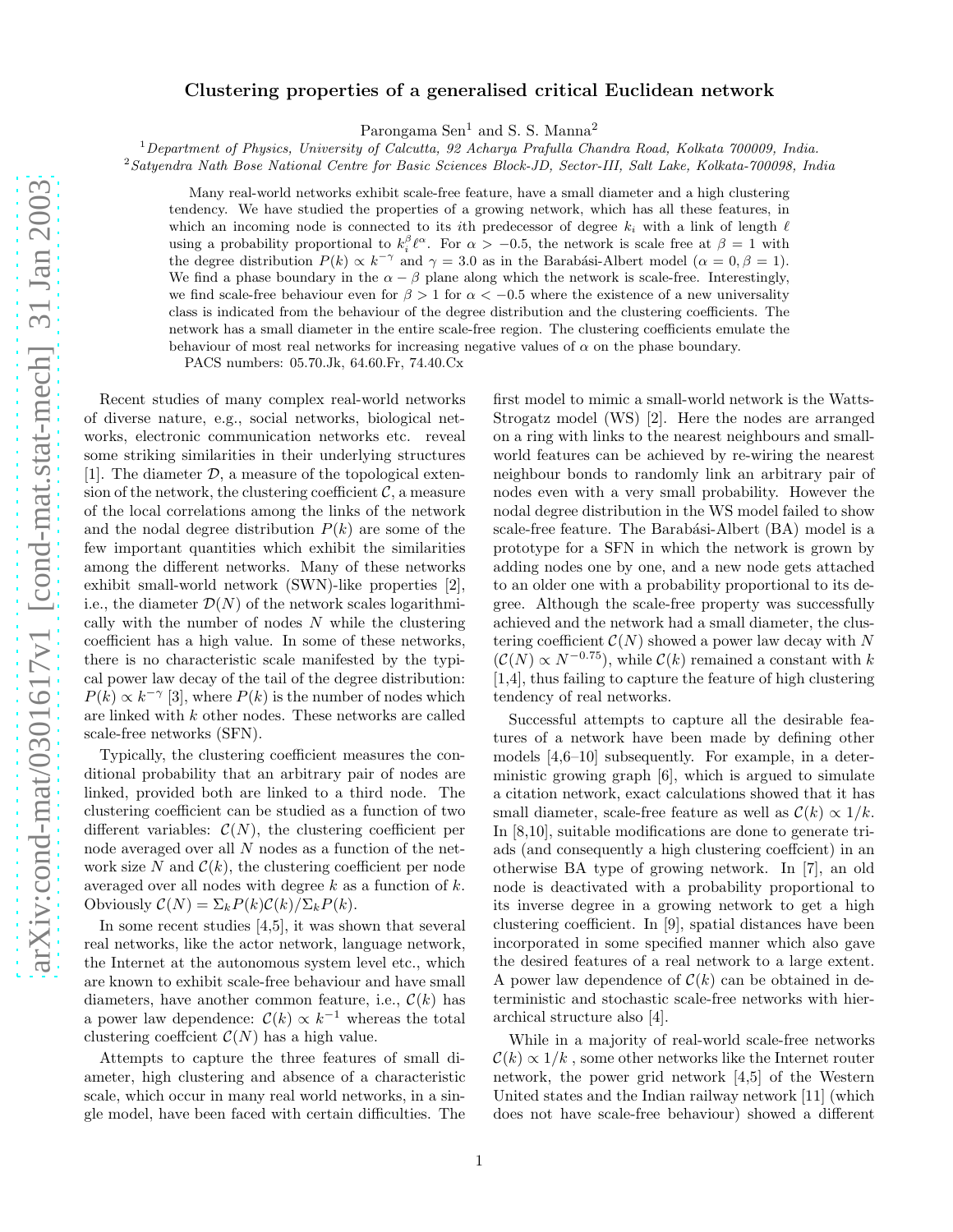## Clustering properties of a generalised critical Euclidean network

Parongama Sen<sup>1</sup> and S. S. Manna<sup>2</sup>

 $1$ Department of Physics, University of Calcutta, 92 Acharya Prafulla Chandra Road, Kolkata 700009, India.

<sup>2</sup>Satyendra Nath Bose National Centre for Basic Sciences Block-JD, Sector-III, Salt Lake, Kolkata-700098, India

Many real-world networks exhibit scale-free feature, have a small diameter and a high clustering tendency. We have studied the properties of a growing network, which has all these features, in which an incoming node is connected to its ith predecessor of degree  $k_i$  with a link of length  $\ell$ using a probability proportional to  $k_i^{\beta} \ell^{\alpha}$ . For  $\alpha > -0.5$ , the network is scale free at  $\beta = 1$  with the degree distribution  $P(k) \propto k^{-\gamma}$  and  $\gamma = 3.0$  as in the Barabási-Albert model ( $\alpha = 0, \beta = 1$ ). We find a phase boundary in the  $\alpha - \beta$  plane along which the network is scale-free. Interestingly, we find scale-free behaviour even for  $\beta > 1$  for  $\alpha < -0.5$  where the existence of a new universality class is indicated from the behaviour of the degree distribution and the clustering coefficients. The network has a small diameter in the entire scale-free region. The clustering coefficients emulate the behaviour of most real networks for increasing negative values of  $\alpha$  on the phase boundary.

PACS numbers: 05.70.Jk, 64.60.Fr, 74.40.Cx

Recent studies of many complex real-world networks of diverse nature, e.g., social networks, biological networks, electronic communication networks etc. reveal some striking similarities in their underlying structures [1]. The diameter  $\mathcal{D}$ , a measure of the topological extension of the network, the clustering coefficient  $\mathcal{C}$ , a measure of the local correlations among the links of the network and the nodal degree distribution  $P(k)$  are some of the few important quantities which exhibit the similarities among the different networks. Many of these networks exhibit small-world network (SWN)-like properties [2], i.e., the diameter  $\mathcal{D}(N)$  of the network scales logarithmically with the number of nodes  $N$  while the clustering coefficient has a high value. In some of these networks, there is no characteristic scale manifested by the typical power law decay of the tail of the degree distribution:  $P(k) \propto k^{-\gamma}$  [3], where  $P(k)$  is the number of nodes which are linked with k other nodes. These networks are called scale-free networks (SFN).

Typically, the clustering coefficient measures the conditional probability that an arbitrary pair of nodes are linked, provided both are linked to a third node. The clustering coefficient can be studied as a function of two different variables:  $\mathcal{C}(N)$ , the clustering coefficient per node averaged over all N nodes as a function of the network size N and  $\mathcal{C}(k)$ , the clustering coefficient per node averaged over all nodes with degree  $k$  as a function of  $k$ . Obviously  $C(N) = \sum_k P(k)C(k)/\sum_k P(k)$ .

In some recent studies [4,5], it was shown that several real networks, like the actor network, language network, the Internet at the autonomous system level etc., which are known to exhibit scale-free behaviour and have small diameters, have another common feature, i.e.,  $\mathcal{C}(k)$  has a power law dependence:  $\mathcal{C}(k) \propto k^{-1}$  whereas the total clustering coeffcient  $\mathcal{C}(N)$  has a high value.

Attempts to capture the three features of small diameter, high clustering and absence of a characteristic scale, which occur in many real world networks, in a single model, have been faced with certain difficulties. The first model to mimic a small-world network is the Watts-Strogatz model (WS) [2]. Here the nodes are arranged on a ring with links to the nearest neighbours and smallworld features can be achieved by re-wiring the nearest neighbour bonds to randomly link an arbitrary pair of nodes even with a very small probability. However the nodal degree distribution in the WS model failed to show scale-free feature. The Barabási-Albert (BA) model is a prototype for a SFN in which the network is grown by adding nodes one by one, and a new node gets attached to an older one with a probability proportional to its degree. Although the scale-free property was successfully achieved and the network had a small diameter, the clustering coefficient  $\mathcal{C}(N)$  showed a power law decay with N  $(\mathcal{C}(N) \propto N^{-0.75})$ , while  $\mathcal{C}(k)$  remained a constant with k [1,4], thus failing to capture the feature of high clustering tendency of real networks.

Successful attempts to capture all the desirable features of a network have been made by defining other models [4,6–10] subsequently. For example, in a deterministic growing graph [6], which is argued to simulate a citation network, exact calculations showed that it has small diameter, scale-free feature as well as  $\mathcal{C}(k) \propto 1/k$ . In [8,10], suitable modifications are done to generate triads (and consequently a high clustering coeffcient) in an otherwise BA type of growing network. In [7], an old node is deactivated with a probability proportional to its inverse degree in a growing network to get a high clustering coefficient. In [9], spatial distances have been incorporated in some specified manner which also gave the desired features of a real network to a large extent. A power law dependence of  $\mathcal{C}(k)$  can be obtained in deterministic and stochastic scale-free networks with hierarchical structure also [4].

While in a majority of real-world scale-free networks  $\mathcal{C}(k) \propto 1/k$ , some other networks like the Internet router network, the power grid network [4,5] of the Western United states and the Indian railway network [11] (which does not have scale-free behaviour) showed a different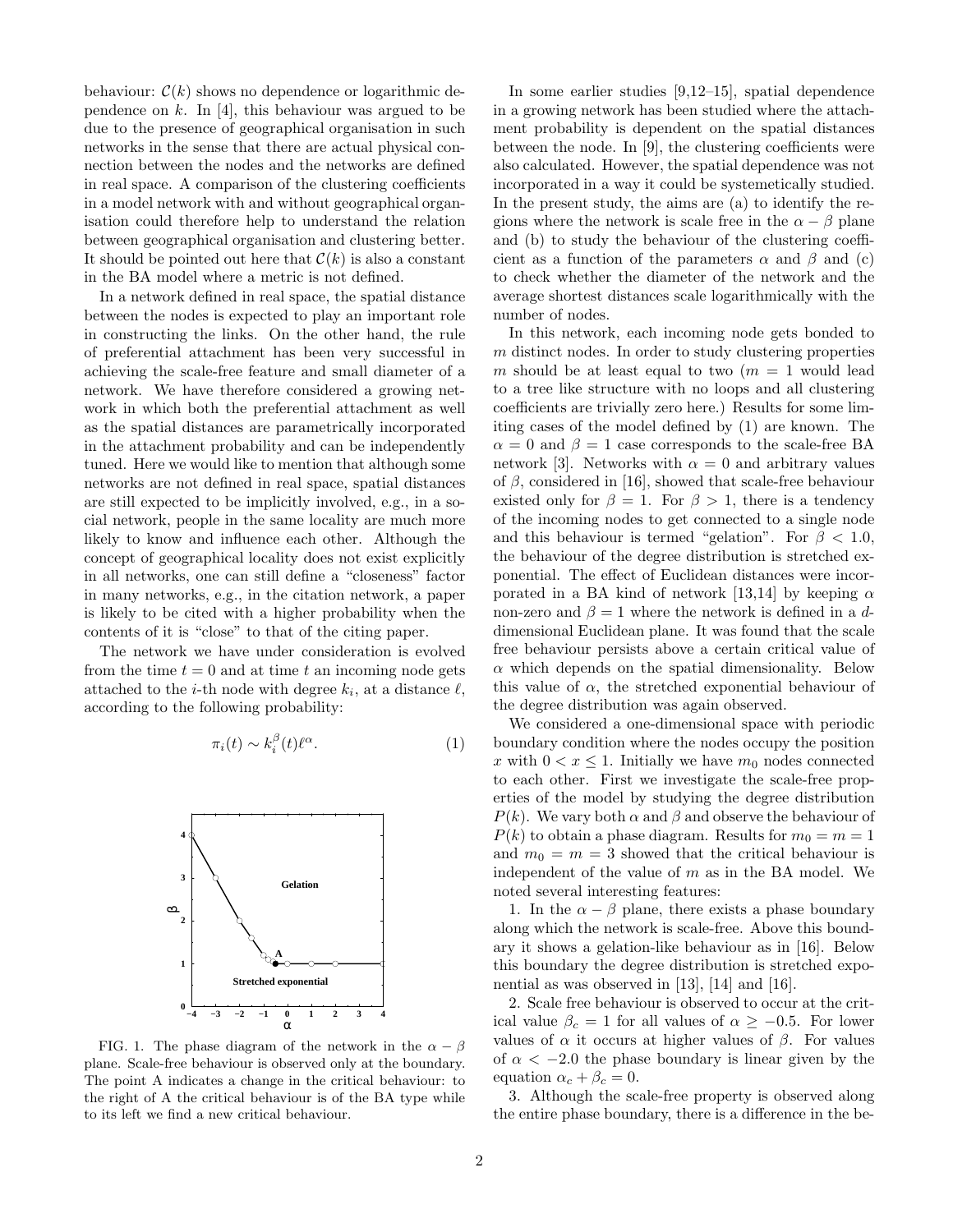behaviour:  $\mathcal{C}(k)$  shows no dependence or logarithmic dependence on  $k$ . In [4], this behaviour was argued to be due to the presence of geographical organisation in such networks in the sense that there are actual physical connection between the nodes and the networks are defined in real space. A comparison of the clustering coefficients in a model network with and without geographical organisation could therefore help to understand the relation between geographical organisation and clustering better. It should be pointed out here that  $\mathcal{C}(k)$  is also a constant in the BA model where a metric is not defined.

In a network defined in real space, the spatial distance between the nodes is expected to play an important role in constructing the links. On the other hand, the rule of preferential attachment has been very successful in achieving the scale-free feature and small diameter of a network. We have therefore considered a growing network in which both the preferential attachment as well as the spatial distances are parametrically incorporated in the attachment probability and can be independently tuned. Here we would like to mention that although some networks are not defined in real space, spatial distances are still expected to be implicitly involved, e.g., in a social network, people in the same locality are much more likely to know and influence each other. Although the concept of geographical locality does not exist explicitly in all networks, one can still define a "closeness" factor in many networks, e.g., in the citation network, a paper is likely to be cited with a higher probability when the contents of it is "close" to that of the citing paper.

The network we have under consideration is evolved from the time  $t = 0$  and at time t an incoming node gets attached to the *i*-th node with degree  $k_i$ , at a distance  $\ell$ , according to the following probability:

$$
\pi_i(t) \sim k_i^{\beta}(t)\ell^{\alpha}.
$$
 (1)



FIG. 1. The phase diagram of the network in the  $\alpha - \beta$ plane. Scale-free behaviour is observed only at the boundary. The point A indicates a change in the critical behaviour: to the right of A the critical behaviour is of the BA type while to its left we find a new critical behaviour.

In some earlier studies [9,12–15], spatial dependence in a growing network has been studied where the attachment probability is dependent on the spatial distances between the node. In [9], the clustering coefficients were also calculated. However, the spatial dependence was not incorporated in a way it could be systemetically studied. In the present study, the aims are (a) to identify the regions where the network is scale free in the  $\alpha - \beta$  plane and (b) to study the behaviour of the clustering coefficient as a function of the parameters  $\alpha$  and  $\beta$  and (c) to check whether the diameter of the network and the average shortest distances scale logarithmically with the number of nodes.

In this network, each incoming node gets bonded to m distinct nodes. In order to study clustering properties m should be at least equal to two  $(m = 1$  would lead to a tree like structure with no loops and all clustering coefficients are trivially zero here.) Results for some limiting cases of the model defined by (1) are known. The  $\alpha = 0$  and  $\beta = 1$  case corresponds to the scale-free BA network [3]. Networks with  $\alpha = 0$  and arbitrary values of  $\beta$ , considered in [16], showed that scale-free behaviour existed only for  $\beta = 1$ . For  $\beta > 1$ , there is a tendency of the incoming nodes to get connected to a single node and this behaviour is termed "gelation". For  $\beta$  < 1.0, the behaviour of the degree distribution is stretched exponential. The effect of Euclidean distances were incorporated in a BA kind of network [13,14] by keeping  $\alpha$ non-zero and  $\beta = 1$  where the network is defined in a ddimensional Euclidean plane. It was found that the scale free behaviour persists above a certain critical value of  $\alpha$  which depends on the spatial dimensionality. Below this value of  $\alpha$ , the stretched exponential behaviour of the degree distribution was again observed.

We considered a one-dimensional space with periodic boundary condition where the nodes occupy the position x with  $0 < x \leq 1$ . Initially we have  $m_0$  nodes connected to each other. First we investigate the scale-free properties of the model by studying the degree distribution  $P(k)$ . We vary both  $\alpha$  and  $\beta$  and observe the behaviour of  $P(k)$  to obtain a phase diagram. Results for  $m_0 = m = 1$ and  $m_0 = m = 3$  showed that the critical behaviour is independent of the value of  $m$  as in the BA model. We noted several interesting features:

1. In the  $\alpha - \beta$  plane, there exists a phase boundary along which the network is scale-free. Above this boundary it shows a gelation-like behaviour as in [16]. Below this boundary the degree distribution is stretched exponential as was observed in [13], [14] and [16].

2. Scale free behaviour is observed to occur at the critical value  $\beta_c = 1$  for all values of  $\alpha \geq -0.5$ . For lower values of  $\alpha$  it occurs at higher values of  $\beta$ . For values of  $\alpha < -2.0$  the phase boundary is linear given by the equation  $\alpha_c + \beta_c = 0$ .

3. Although the scale-free property is observed along the entire phase boundary, there is a difference in the be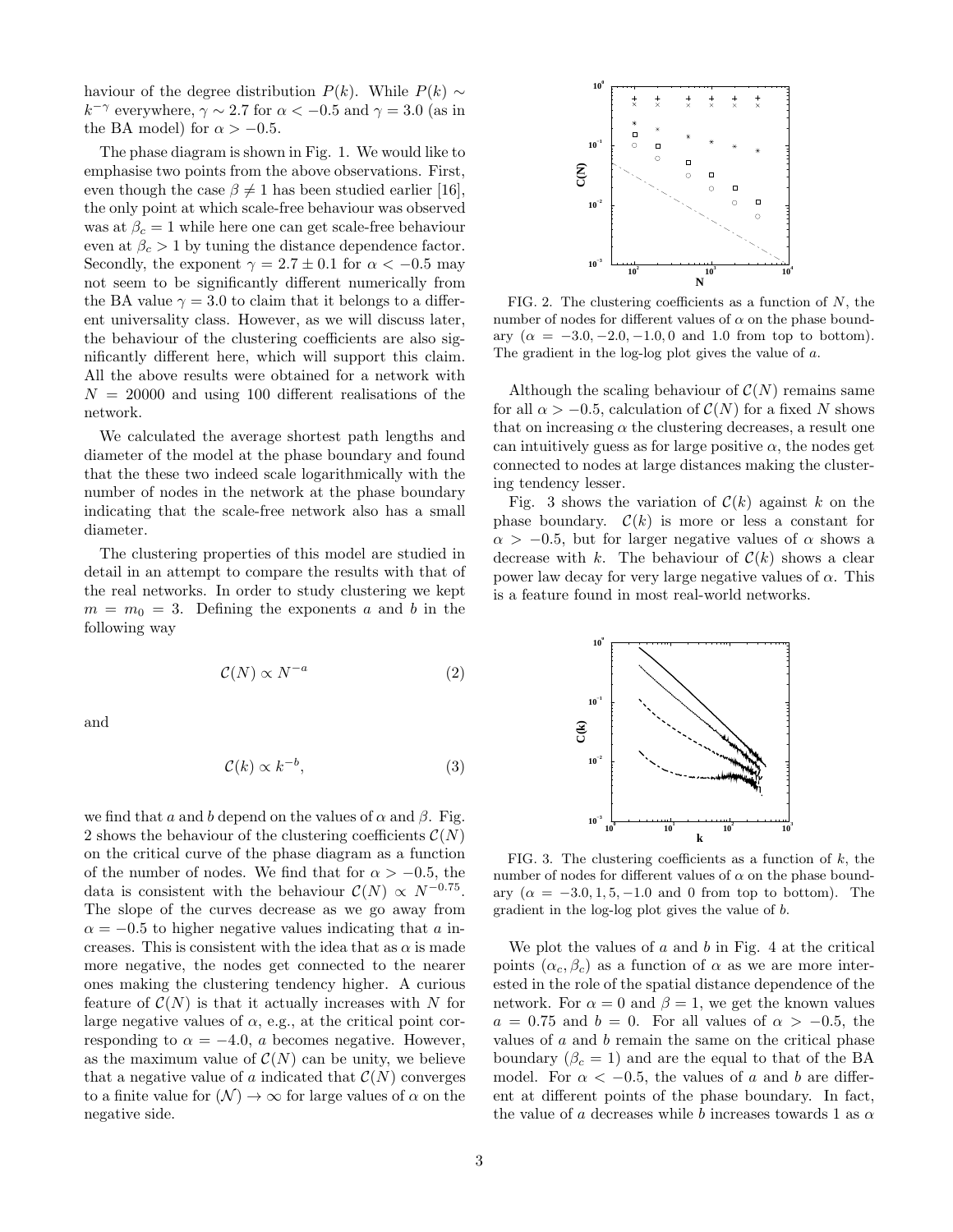haviour of the degree distribution  $P(k)$ . While  $P(k) \sim$  $k^{-\gamma}$  everywhere,  $\gamma \sim 2.7$  for  $\alpha < -0.5$  and  $\gamma = 3.0$  (as in the BA model) for  $\alpha > -0.5$ .

The phase diagram is shown in Fig. 1. We would like to emphasise two points from the above observations. First, even though the case  $\beta \neq 1$  has been studied earlier [16], the only point at which scale-free behaviour was observed was at  $\beta_c = 1$  while here one can get scale-free behaviour even at  $\beta_c > 1$  by tuning the distance dependence factor. Secondly, the exponent  $\gamma = 2.7 \pm 0.1$  for  $\alpha < -0.5$  may not seem to be significantly different numerically from the BA value  $\gamma = 3.0$  to claim that it belongs to a different universality class. However, as we will discuss later, the behaviour of the clustering coefficients are also significantly different here, which will support this claim. All the above results were obtained for a network with  $N = 20000$  and using 100 different realisations of the network.

We calculated the average shortest path lengths and diameter of the model at the phase boundary and found that the these two indeed scale logarithmically with the number of nodes in the network at the phase boundary indicating that the scale-free network also has a small diameter.

The clustering properties of this model are studied in detail in an attempt to compare the results with that of the real networks. In order to study clustering we kept  $m = m_0 = 3$ . Defining the exponents a and b in the following way

$$
\mathcal{C}(N) \propto N^{-a} \tag{2}
$$

and

$$
\mathcal{C}(k) \propto k^{-b},\tag{3}
$$

we find that a and b depend on the values of  $\alpha$  and  $\beta$ . Fig. 2 shows the behaviour of the clustering coefficients  $\mathcal{C}(N)$ on the critical curve of the phase diagram as a function of the number of nodes. We find that for  $\alpha > -0.5$ , the data is consistent with the behaviour  $\mathcal{C}(N) \propto N^{-0.75}$ . The slope of the curves decrease as we go away from  $\alpha = -0.5$  to higher negative values indicating that a increases. This is consistent with the idea that as  $\alpha$  is made more negative, the nodes get connected to the nearer ones making the clustering tendency higher. A curious feature of  $\mathcal{C}(N)$  is that it actually increases with N for large negative values of  $\alpha$ , e.g., at the critical point corresponding to  $\alpha = -4.0$ , a becomes negative. However, as the maximum value of  $\mathcal{C}(N)$  can be unity, we believe that a negative value of a indicated that  $\mathcal{C}(N)$  converges to a finite value for  $(N) \to \infty$  for large values of  $\alpha$  on the negative side.



FIG. 2. The clustering coefficients as a function of  $N$ , the number of nodes for different values of  $\alpha$  on the phase boundary  $(\alpha = -3.0, -2.0, -1.0, 0, \text{ and } 1.0 \text{ from top to bottom}).$ The gradient in the log-log plot gives the value of a.

Although the scaling behaviour of  $C(N)$  remains same for all  $\alpha > -0.5$ , calculation of  $\mathcal{C}(N)$  for a fixed N shows that on increasing  $\alpha$  the clustering decreases, a result one can intuitively guess as for large positive  $\alpha$ , the nodes get connected to nodes at large distances making the clustering tendency lesser.

Fig. 3 shows the variation of  $\mathcal{C}(k)$  against k on the phase boundary.  $\mathcal{C}(k)$  is more or less a constant for  $\alpha$  > −0.5, but for larger negative values of  $\alpha$  shows a decrease with k. The behaviour of  $\mathcal{C}(k)$  shows a clear power law decay for very large negative values of  $\alpha$ . This is a feature found in most real-world networks.



FIG. 3. The clustering coefficients as a function of  $k$ , the number of nodes for different values of  $\alpha$  on the phase boundary  $(\alpha = -3.0, 1, 5, -1.0, \text{ and } 0 \text{ from top to bottom}).$  The gradient in the log-log plot gives the value of b.

We plot the values of  $a$  and  $b$  in Fig. 4 at the critical points  $(\alpha_c, \beta_c)$  as a function of  $\alpha$  as we are more interested in the role of the spatial distance dependence of the network. For  $\alpha = 0$  and  $\beta = 1$ , we get the known values  $a = 0.75$  and  $b = 0$ . For all values of  $\alpha > -0.5$ , the values of  $a$  and  $b$  remain the same on the critical phase boundary  $(\beta_c = 1)$  and are the equal to that of the BA model. For  $\alpha < -0.5$ , the values of a and b are different at different points of the phase boundary. In fact, the value of a decreases while b increases towards 1 as  $\alpha$